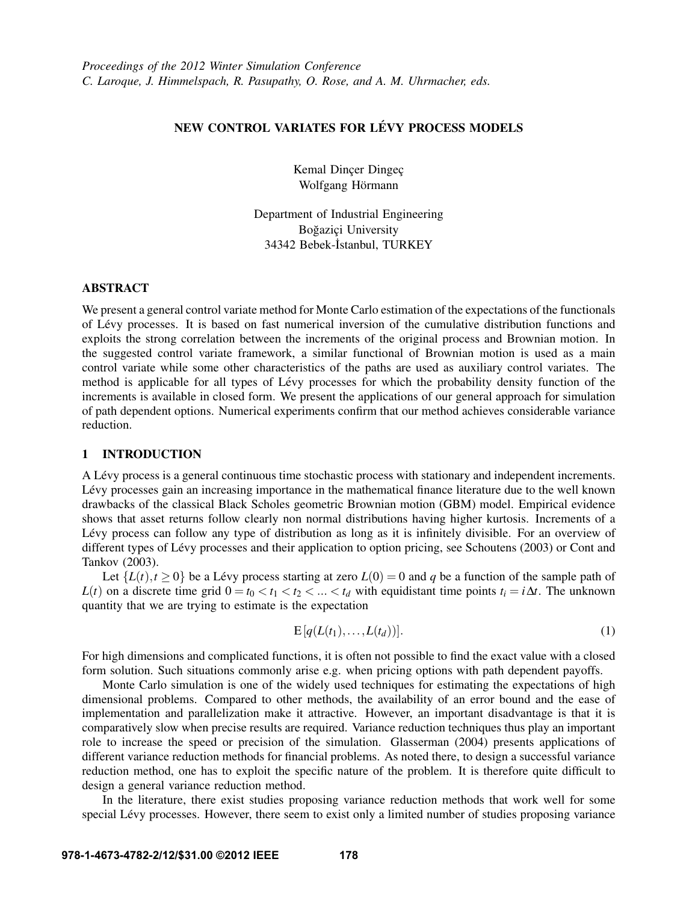# NEW CONTROL VARIATES FOR LÉVY PROCESS MODELS

Kemal Dincer Dingec Wolfgang Hörmann

Department of Industrial Engineering Boğazici University 34342 Bebek-İstanbul, TURKEY

# ABSTRACT

We present a general control variate method for Monte Carlo estimation of the expectations of the functionals of Levy processes. It is based on fast numerical inversion of the cumulative distribution functions and ´ exploits the strong correlation between the increments of the original process and Brownian motion. In the suggested control variate framework, a similar functional of Brownian motion is used as a main control variate while some other characteristics of the paths are used as auxiliary control variates. The method is applicable for all types of Lévy processes for which the probability density function of the increments is available in closed form. We present the applications of our general approach for simulation of path dependent options. Numerical experiments confirm that our method achieves considerable variance reduction.

# 1 INTRODUCTION

A Levy process is a general continuous time stochastic process with stationary and independent increments. ´ Lévy processes gain an increasing importance in the mathematical finance literature due to the well known drawbacks of the classical Black Scholes geometric Brownian motion (GBM) model. Empirical evidence shows that asset returns follow clearly non normal distributions having higher kurtosis. Increments of a Lévy process can follow any type of distribution as long as it is infinitely divisible. For an overview of different types of Lévy processes and their application to option pricing, see Schoutens (2003) or Cont and Tankov (2003).

Let  $\{L(t), t \ge 0\}$  be a Lévy process starting at zero  $L(0) = 0$  and q be a function of the sample path of *L*(*t*) on a discrete time grid  $0 = t_0 < t_1 < t_2 < ... < t_d$  with equidistant time points  $t_i = i\Delta t$ . The unknown quantity that we are trying to estimate is the expectation

$$
E[q(L(t_1),...,L(t_d))]. \tag{1}
$$

For high dimensions and complicated functions, it is often not possible to find the exact value with a closed form solution. Such situations commonly arise e.g. when pricing options with path dependent payoffs.

Monte Carlo simulation is one of the widely used techniques for estimating the expectations of high dimensional problems. Compared to other methods, the availability of an error bound and the ease of implementation and parallelization make it attractive. However, an important disadvantage is that it is comparatively slow when precise results are required. Variance reduction techniques thus play an important role to increase the speed or precision of the simulation. Glasserman (2004) presents applications of different variance reduction methods for financial problems. As noted there, to design a successful variance reduction method, one has to exploit the specific nature of the problem. It is therefore quite difficult to design a general variance reduction method.

In the literature, there exist studies proposing variance reduction methods that work well for some special Lévy processes. However, there seem to exist only a limited number of studies proposing variance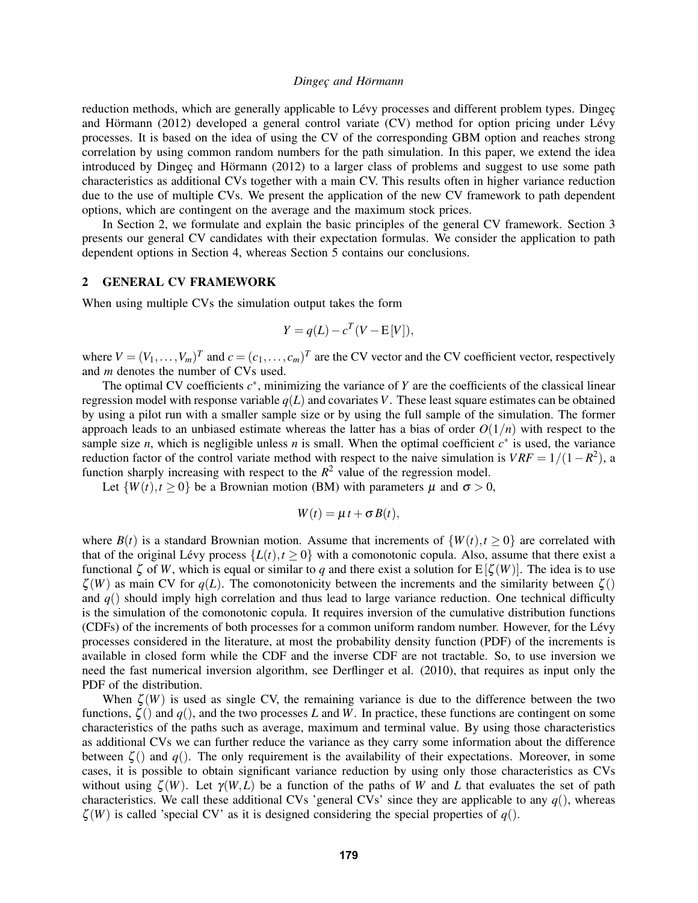reduction methods, which are generally applicable to Lévy processes and different problem types. Dingec and Hörmann (2012) developed a general control variate  $(CV)$  method for option pricing under Lévy processes. It is based on the idea of using the CV of the corresponding GBM option and reaches strong correlation by using common random numbers for the path simulation. In this paper, we extend the idea introduced by Dingeç and Hörmann  $(2012)$  to a larger class of problems and suggest to use some path characteristics as additional CVs together with a main CV. This results often in higher variance reduction due to the use of multiple CVs. We present the application of the new CV framework to path dependent options, which are contingent on the average and the maximum stock prices.

In Section 2, we formulate and explain the basic principles of the general CV framework. Section 3 presents our general CV candidates with their expectation formulas. We consider the application to path dependent options in Section 4, whereas Section 5 contains our conclusions.

## 2 GENERAL CV FRAMEWORK

When using multiple CVs the simulation output takes the form

$$
Y = q(L) - c^T(V - E[V]),
$$

where  $V = (V_1, \ldots, V_m)^T$  and  $c = (c_1, \ldots, c_m)^T$  are the CV vector and the CV coefficient vector, respectively and *m* denotes the number of CVs used.

The optimal CV coefficients  $c^*$ , minimizing the variance of  $Y$  are the coefficients of the classical linear regression model with response variable  $q(L)$  and covariates *V*. These least square estimates can be obtained by using a pilot run with a smaller sample size or by using the full sample of the simulation. The former approach leads to an unbiased estimate whereas the latter has a bias of order  $O(1/n)$  with respect to the sample size *n*, which is negligible unless *n* is small. When the optimal coefficient  $c^*$  is used, the variance reduction factor of the control variate method with respect to the naive simulation is  $VRF = 1/(1 - R^2)$ , a function sharply increasing with respect to the  $R^2$  value of the regression model.

Let  $\{W(t), t \geq 0\}$  be a Brownian motion (BM) with parameters  $\mu$  and  $\sigma > 0$ ,

$$
W(t) = \mu t + \sigma B(t),
$$

where  $B(t)$  is a standard Brownian motion. Assume that increments of  $\{W(t), t \ge 0\}$  are correlated with that of the original Lévy process  $\{L(t), t \ge 0\}$  with a comonotonic copula. Also, assume that there exist a functional  $\zeta$  of *W*, which is equal or similar to *q* and there exist a solution for  $E[\zeta(W)]$ . The idea is to use  $\zeta(W)$  as main CV for  $q(L)$ . The comonotonicity between the increments and the similarity between  $\zeta()$ and *q*() should imply high correlation and thus lead to large variance reduction. One technical difficulty is the simulation of the comonotonic copula. It requires inversion of the cumulative distribution functions (CDFs) of the increments of both processes for a common uniform random number. However, for the Levy ´ processes considered in the literature, at most the probability density function (PDF) of the increments is available in closed form while the CDF and the inverse CDF are not tractable. So, to use inversion we need the fast numerical inversion algorithm, see Derflinger et al. (2010), that requires as input only the PDF of the distribution.

When  $\zeta(W)$  is used as single CV, the remaining variance is due to the difference between the two functions,  $\zeta$ () and *q*(), and the two processes *L* and *W*. In practice, these functions are contingent on some characteristics of the paths such as average, maximum and terminal value. By using those characteristics as additional CVs we can further reduce the variance as they carry some information about the difference between  $\zeta$ () and  $q$ (). The only requirement is the availability of their expectations. Moreover, in some cases, it is possible to obtain significant variance reduction by using only those characteristics as CVs without using  $\zeta(W)$ . Let  $\gamma(W,L)$  be a function of the paths of W and L that evaluates the set of path characteristics. We call these additional CVs 'general CVs' since they are applicable to any  $q()$ , whereas  $\zeta(W)$  is called 'special CV' as it is designed considering the special properties of  $q()$ .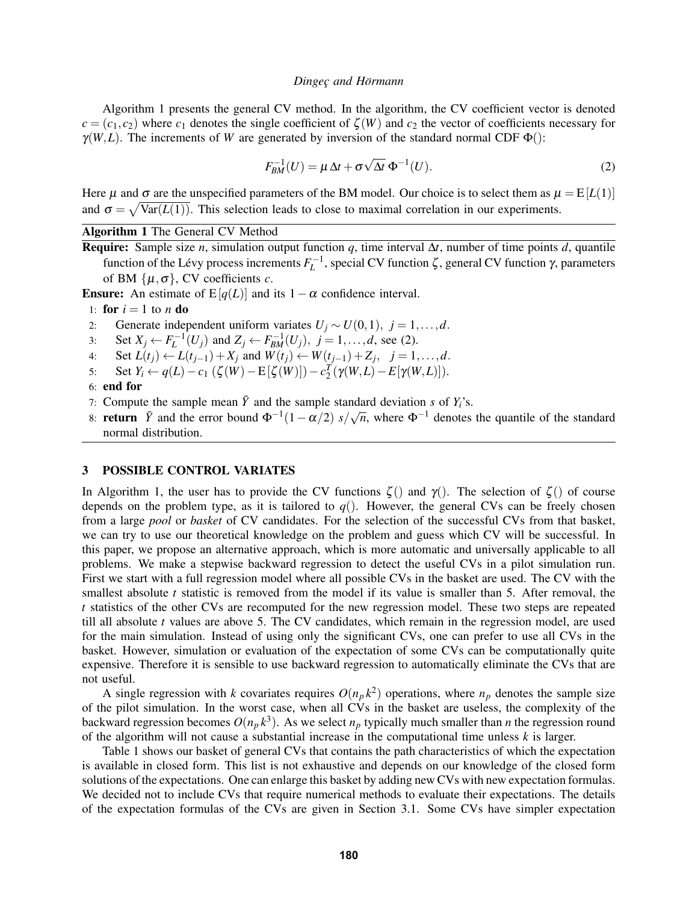Algorithm 1 presents the general CV method. In the algorithm, the CV coefficient vector is denoted  $c = (c_1, c_2)$  where  $c_1$  denotes the single coefficient of  $\zeta(W)$  and  $c_2$  the vector of coefficients necessary for  $\gamma(W, L)$ . The increments of *W* are generated by inversion of the standard normal CDF  $\Phi$ ():

$$
F_{BM}^{-1}(U) = \mu \Delta t + \sigma \sqrt{\Delta t} \Phi^{-1}(U). \tag{2}
$$

Here  $\mu$  and  $\sigma$  are the unspecified parameters of the BM model. Our choice is to select them as  $\mu = E[L(1)]$ and  $\sigma = \sqrt{\text{Var}(L(1))}$ . This selection leads to close to maximal correlation in our experiments.

Algorithm 1 The General CV Method

Require: Sample size *n*, simulation output function *q*, time interval ∆*t*, number of time points *d*, quantile function of the Lévy process increments  $F_L^{-1}$ , special CV function ζ, general CV function γ, parameters of BM  $\{\mu, \sigma\}$ , CV coefficients *c*.

**Ensure:** An estimate of E[ $q(L)$ ] and its 1 –  $\alpha$  confidence interval.

1: **for**  $i = 1$  to *n* **do** 

- 2: Generate independent uniform variates  $U_j \sim U(0,1)$ ,  $j = 1,...,d$ .
- 3: Set  $X_j \leftarrow F_L^{-1}(U_j)$  and  $Z_j \leftarrow F_{BM}^{-1}(U_j)$ ,  $j = 1, ..., d$ , see (2).
- 4: Set *L*(*t*<sub>*j*</sub>) ← *L*(*t*<sub>*j*−1</sub>) + *X<sub><i>j*</sub> and *W*(*t*<sub>*j*</sub>) ← *W*(*t*<sub>*j*−1</sub>) + *Z<sub><i>j*</sub>, *j* = 1,...,*d*.
- 5: Set *Y*<sub>*i*</sub> ← *q*(*L*) − *c*<sub>1</sub> (ζ(*W*) − E[ζ(*W*)]) −  $c_2^T$ (γ(*W*,*L*) − E[γ(*W*,*L*)]).

```
6: end for
```
- 7: Compute the sample mean  $\bar{Y}$  and the sample standard deviation *s* of  $Y_i$ 's.
- 8: **return**  $\bar{Y}$  and the error bound  $\Phi^{-1}(1 \alpha/2)$   $s/\sqrt{n}$ , where  $\Phi^{-1}$  denotes the quantile of the standard normal distribution.

# 3 POSSIBLE CONTROL VARIATES

In Algorithm 1, the user has to provide the CV functions  $\zeta$  () and  $\gamma$  (). The selection of  $\zeta$  () of course depends on the problem type, as it is tailored to  $q()$ . However, the general CVs can be freely chosen from a large *pool* or *basket* of CV candidates. For the selection of the successful CVs from that basket, we can try to use our theoretical knowledge on the problem and guess which CV will be successful. In this paper, we propose an alternative approach, which is more automatic and universally applicable to all problems. We make a stepwise backward regression to detect the useful CVs in a pilot simulation run. First we start with a full regression model where all possible CVs in the basket are used. The CV with the smallest absolute *t* statistic is removed from the model if its value is smaller than 5. After removal, the *t* statistics of the other CVs are recomputed for the new regression model. These two steps are repeated till all absolute *t* values are above 5. The CV candidates, which remain in the regression model, are used for the main simulation. Instead of using only the significant CVs, one can prefer to use all CVs in the basket. However, simulation or evaluation of the expectation of some CVs can be computationally quite expensive. Therefore it is sensible to use backward regression to automatically eliminate the CVs that are not useful.

A single regression with *k* covariates requires  $O(n_p k^2)$  operations, where  $n_p$  denotes the sample size of the pilot simulation. In the worst case, when all CVs in the basket are useless, the complexity of the backward regression becomes  $O(n_p k^3)$ . As we select  $n_p$  typically much smaller than *n* the regression round of the algorithm will not cause a substantial increase in the computational time unless *k* is larger.

Table 1 shows our basket of general CVs that contains the path characteristics of which the expectation is available in closed form. This list is not exhaustive and depends on our knowledge of the closed form solutions of the expectations. One can enlarge this basket by adding new CVs with new expectation formulas. We decided not to include CVs that require numerical methods to evaluate their expectations. The details of the expectation formulas of the CVs are given in Section 3.1. Some CVs have simpler expectation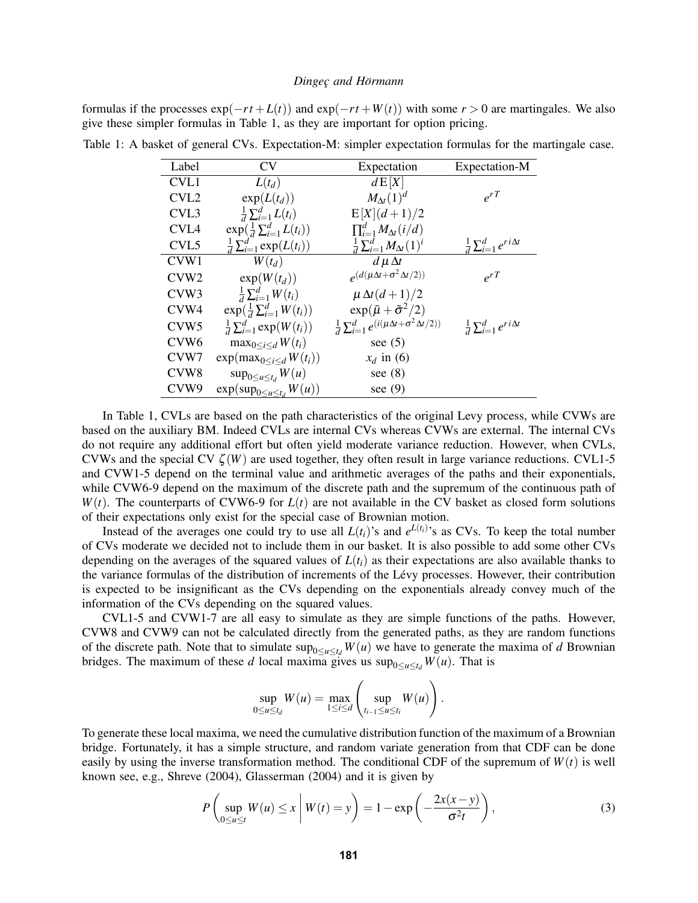formulas if the processes  $exp(-rt + L(t))$  and  $exp(-rt + W(t))$  with some  $r > 0$  are martingales. We also give these simpler formulas in Table 1, as they are important for option pricing.

| Label            | CV                                      | Expectation                                                         | Expectation-M                            |
|------------------|-----------------------------------------|---------------------------------------------------------------------|------------------------------------------|
| CVL1             | $L(t_d)$                                | dE[X]                                                               |                                          |
| CVL <sub>2</sub> | $\exp(L(t_d))$                          | $M_{\Delta t}(1)^d$                                                 | $\rho^r$                                 |
| CVL <sub>3</sub> | $\frac{1}{d}\sum_{i=1}^d L(t_i)$        | $E[X](d+1)/2$                                                       |                                          |
| CVL <sub>4</sub> | $\exp(\frac{1}{d}\sum_{i=1}^d L(t_i))$  | $\prod_{i=1}^d M_{\Delta t}(i/d)$                                   |                                          |
| CVL <sub>5</sub> | $\frac{1}{d} \sum_{i=1}^d \exp(L(t_i))$ | $\frac{1}{d}\sum_{i=1}^d M_{\Delta t}(1)^i$                         | $\frac{1}{d}\sum_{i=1}^d e^{ri\Delta t}$ |
| CVW1             | $W(t_d)$                                | $d\mu\Delta t$                                                      |                                          |
| CVW <sub>2</sub> | $\exp(W(t_d))$                          | $\rho(d(\mu\Delta t+\sigma^2\Delta t/2))$                           | $e^{rT}$                                 |
| CVW <sub>3</sub> | $\frac{1}{d}\sum_{i=1}^d W(t_i)$        | $\mu \Delta t (d+1)/2$                                              |                                          |
| CVW4             | $\exp(\frac{1}{d}\sum_{i=1}^d W(t_i))$  | $\exp(\tilde{\mu} + \tilde{\sigma}^2/2)$                            |                                          |
| CVW <sub>5</sub> | $\frac{1}{d} \sum_{i=1}^d \exp(W(t_i))$ | $\frac{1}{d}\sum_{i=1}^d e^{(i(\mu\Delta t + \sigma^2\Delta t/2))}$ | $\frac{1}{d}\sum_{i=1}^d e^{ri\Delta t}$ |
| CVW <sub>6</sub> | $\max_{0 \leq i \leq d} W(t_i)$         | see $(5)$                                                           |                                          |
| CVW7             | $\exp(\max_{0 \leq i \leq d} W(t_i))$   | $x_d$ in (6)                                                        |                                          |
| CVW <sub>8</sub> | $\sup_{0\leq u\leq t_d} W(u)$           | see $(8)$                                                           |                                          |
| CVW9             | $\exp(\sup_{0 \le u \le t_d} W(u))$     | see $(9)$                                                           |                                          |
|                  |                                         |                                                                     |                                          |

Table 1: A basket of general CVs. Expectation-M: simpler expectation formulas for the martingale case.

In Table 1, CVLs are based on the path characteristics of the original Levy process, while CVWs are based on the auxiliary BM. Indeed CVLs are internal CVs whereas CVWs are external. The internal CVs do not require any additional effort but often yield moderate variance reduction. However, when CVLs, CVWs and the special CV  $\zeta(W)$  are used together, they often result in large variance reductions. CVL1-5 and CVW1-5 depend on the terminal value and arithmetic averages of the paths and their exponentials, while CVW6-9 depend on the maximum of the discrete path and the supremum of the continuous path of  $W(t)$ . The counterparts of CVW6-9 for  $L(t)$  are not available in the CV basket as closed form solutions of their expectations only exist for the special case of Brownian motion.

Instead of the averages one could try to use all  $L(t_i)$ 's and  $e^{L(t_i)}$ 's as CVs. To keep the total number of CVs moderate we decided not to include them in our basket. It is also possible to add some other CVs depending on the averages of the squared values of  $L(t_i)$  as their expectations are also available thanks to the variance formulas of the distribution of increments of the Levy processes. However, their contribution ´ is expected to be insignificant as the CVs depending on the exponentials already convey much of the information of the CVs depending on the squared values.

CVL1-5 and CVW1-7 are all easy to simulate as they are simple functions of the paths. However, CVW8 and CVW9 can not be calculated directly from the generated paths, as they are random functions of the discrete path. Note that to simulate  $\sup_{0 \le u \le t_d} W(u)$  we have to generate the maxima of *d* Brownian bridges. The maximum of these *d* local maxima gives us  $\sup_{0 \le u \le t_d} W(u)$ . That is

$$
\sup_{0\leq u\leq t_d} W(u) = \max_{1\leq i\leq d} \left( \sup_{t_{i-1}\leq u\leq t_i} W(u) \right).
$$

To generate these local maxima, we need the cumulative distribution function of the maximum of a Brownian bridge. Fortunately, it has a simple structure, and random variate generation from that CDF can be done easily by using the inverse transformation method. The conditional CDF of the supremum of  $W(t)$  is well known see, e.g., Shreve (2004), Glasserman (2004) and it is given by

$$
P\left(\sup_{0\leq u\leq t} W(u)\leq x \middle| W(t)=y\right)=1-\exp\left(-\frac{2x(x-y)}{\sigma^2 t}\right),\tag{3}
$$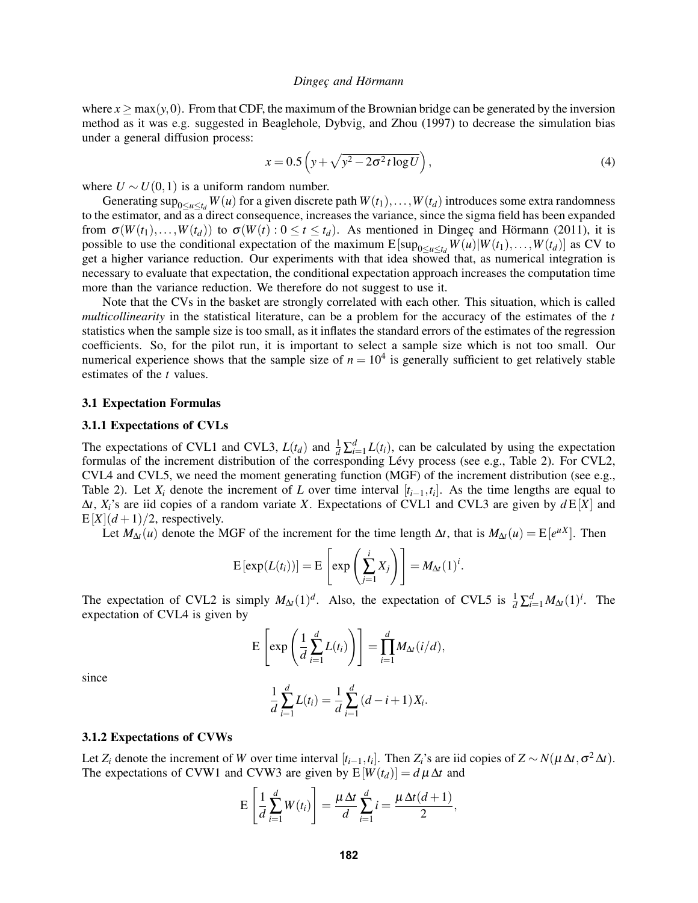where  $x > \max(y, 0)$ . From that CDF, the maximum of the Brownian bridge can be generated by the inversion method as it was e.g. suggested in Beaglehole, Dybvig, and Zhou (1997) to decrease the simulation bias under a general diffusion process:

$$
x = 0.5 \left( y + \sqrt{y^2 - 2\sigma^2 t \log U} \right),\tag{4}
$$

where  $U \sim U(0,1)$  is a uniform random number.

Generating  $\sup_{0 \le u \le t_d} W(u)$  for a given discrete path  $W(t_1), \ldots, W(t_d)$  introduces some extra randomness to the estimator, and as a direct consequence, increases the variance, since the sigma field has been expanded from  $\sigma(W(t_1),...,W(t_d))$  to  $\sigma(W(t): 0 \le t \le t_d)$ . As mentioned in Dingeç and Hörmann (2011), it is possible to use the conditional expectation of the maximum  $E[\sup_{0 \le u \le t_d} W(u)|W(t_1),...,W(t_d)]$  as CV to get a higher variance reduction. Our experiments with that idea showed that, as numerical integration is necessary to evaluate that expectation, the conditional expectation approach increases the computation time more than the variance reduction. We therefore do not suggest to use it.

Note that the CVs in the basket are strongly correlated with each other. This situation, which is called *multicollinearity* in the statistical literature, can be a problem for the accuracy of the estimates of the *t* statistics when the sample size is too small, as it inflates the standard errors of the estimates of the regression coefficients. So, for the pilot run, it is important to select a sample size which is not too small. Our numerical experience shows that the sample size of  $n = 10<sup>4</sup>$  is generally sufficient to get relatively stable estimates of the *t* values.

#### 3.1 Expectation Formulas

#### 3.1.1 Expectations of CVLs

The expectations of CVL1 and CVL3,  $L(t_d)$  and  $\frac{1}{d} \sum_{i=1}^d L(t_i)$ , can be calculated by using the expectation formulas of the increment distribution of the corresponding Lévy process (see e.g., Table 2). For CVL2, CVL4 and CVL5, we need the moment generating function (MGF) of the increment distribution (see e.g., Table 2). Let  $X_i$  denote the increment of *L* over time interval  $[t_{i-1}, t_i]$ . As the time lengths are equal to ∆*t*, *Xi*'s are iid copies of a random variate *X*. Expectations of CVL1 and CVL3 are given by *d* E[*X*] and  $E[X](d+1)/2$ , respectively.

Let  $M_{\Delta t}(u)$  denote the MGF of the increment for the time length  $\Delta t$ , that is  $M_{\Delta t}(u) = E[e^{uX}]$ . Then

$$
E\left[\exp(L(t_i))\right] = E\left[\exp\left(\sum_{j=1}^i X_j\right)\right] = M_{\Delta t}(1)^i.
$$

The expectation of CVL2 is simply  $M_{\Delta t}(1)^d$ . Also, the expectation of CVL5 is  $\frac{1}{d} \sum_{i=1}^d M_{\Delta t}(1)^i$ . The expectation of CVL4 is given by

$$
E\left[\exp\left(\frac{1}{d}\sum_{i=1}^d L(t_i)\right)\right] = \prod_{i=1}^d M_{\Delta t}(i/d),
$$

since

$$
\frac{1}{d}\sum_{i=1}^{d}L(t_i) = \frac{1}{d}\sum_{i=1}^{d} (d-i+1)X_i.
$$

#### 3.1.2 Expectations of CVWs

Let *Z*<sub>*i*</sub> denote the increment of *W* over time interval [ $t_{i-1}, t_i$ ]. Then *Z*<sub>*i*</sub>'s are iid copies of  $Z \sim N(\mu \Delta t, \sigma^2 \Delta t)$ . The expectations of CVW1 and CVW3 are given by  $E[W(t_d)] = d \mu \Delta t$  and

$$
E\left[\frac{1}{d}\sum_{i=1}^d W(t_i)\right] = \frac{\mu \Delta t}{d}\sum_{i=1}^d i = \frac{\mu \Delta t (d+1)}{2},
$$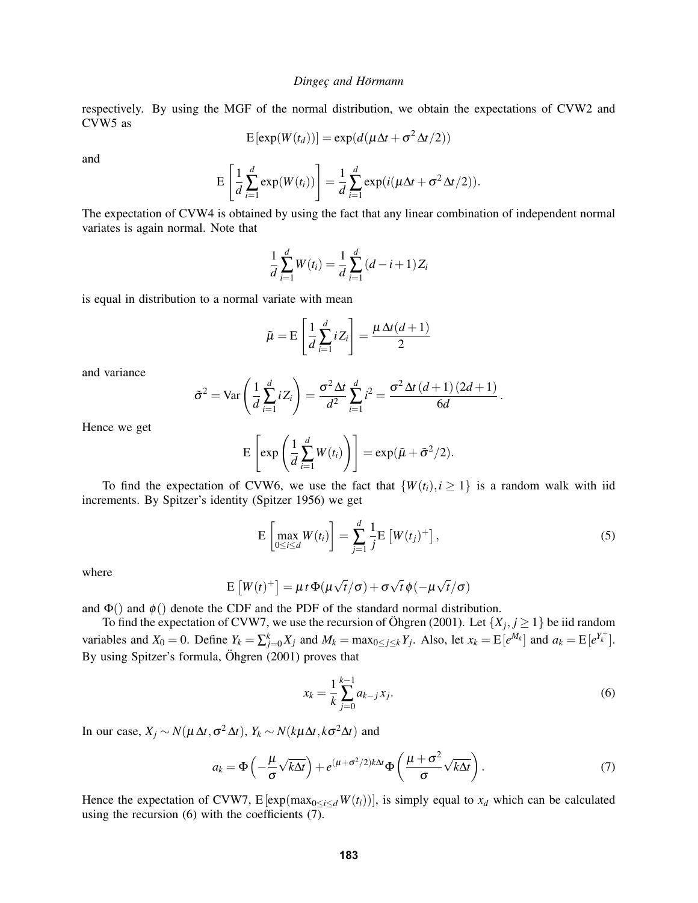respectively. By using the MGF of the normal distribution, we obtain the expectations of CVW2 and CVW5 as

$$
E[exp(W(t_d))] = exp(d(\mu \Delta t + \sigma^2 \Delta t/2))
$$

and

$$
E\left[\frac{1}{d}\sum_{i=1}^d \exp(W(t_i))\right] = \frac{1}{d}\sum_{i=1}^d \exp(i(\mu\Delta t + \sigma^2\Delta t/2)).
$$

The expectation of CVW4 is obtained by using the fact that any linear combination of independent normal variates is again normal. Note that

$$
\frac{1}{d}\sum_{i=1}^{d}W(t_i) = \frac{1}{d}\sum_{i=1}^{d} (d-i+1)Z_i
$$

is equal in distribution to a normal variate with mean

$$
\tilde{\mu} = \mathbf{E} \left[ \frac{1}{d} \sum_{i=1}^{d} i Z_i \right] = \frac{\mu \Delta t (d+1)}{2}
$$

and variance

$$
\tilde{\sigma}^2 = \text{Var}\left(\frac{1}{d}\sum_{i=1}^d iZ_i\right) = \frac{\sigma^2 \Delta t}{d^2} \sum_{i=1}^d i^2 = \frac{\sigma^2 \Delta t \left(d+1\right) \left(2d+1\right)}{6d}.
$$

Hence we get

$$
E\left[\exp\left(\frac{1}{d}\sum_{i=1}^d W(t_i)\right)\right] = \exp(\tilde{\mu} + \tilde{\sigma}^2/2).
$$

To find the expectation of CVW6, we use the fact that  $\{W(t_i), i \geq 1\}$  is a random walk with iid increments. By Spitzer's identity (Spitzer 1956) we get

$$
\mathcal{E}\left[\max_{0\leq i\leq d}W(t_i)\right]=\sum_{j=1}^d\frac{1}{j}\mathcal{E}\left[W(t_j)^+\right],\tag{5}
$$

where

$$
E[W(t)^+] = \mu t \Phi(\mu \sqrt{t}/\sigma) + \sigma \sqrt{t} \phi(-\mu \sqrt{t}/\sigma)
$$

and  $\Phi()$  and  $\phi()$  denote the CDF and the PDF of the standard normal distribution.

To find the expectation of CVW7, we use the recursion of Öhgren (2001). Let  $\{X_j, j \geq 1\}$  be iid random variables and  $X_0 = 0$ . Define  $Y_k = \sum_{j=0}^k X_j$  and  $M_k = \max_{0 \le j \le k} Y_j$ . Also, let  $x_k = E[e^{M_k}]$  and  $a_k = E[e^{Y_k^+}]$ . By using Spitzer's formula,  $\ddot{O}$ hgren (2001) proves that

$$
x_k = \frac{1}{k} \sum_{j=0}^{k-1} a_{k-j} x_j.
$$
 (6)

In our case,  $X_j \sim N(\mu \Delta t, \sigma^2 \Delta t)$ ,  $Y_k \sim N(k\mu \Delta t, k\sigma^2 \Delta t)$  and

$$
a_k = \Phi\left(-\frac{\mu}{\sigma}\sqrt{k\Delta t}\right) + e^{(\mu + \sigma^2/2)k\Delta t}\Phi\left(\frac{\mu + \sigma^2}{\sigma}\sqrt{k\Delta t}\right). \tag{7}
$$

Hence the expectation of CVW7,  $E[\exp(\max_{0 \le i \le d} W(t_i))]$ , is simply equal to  $x_d$  which can be calculated using the recursion (6) with the coefficients (7).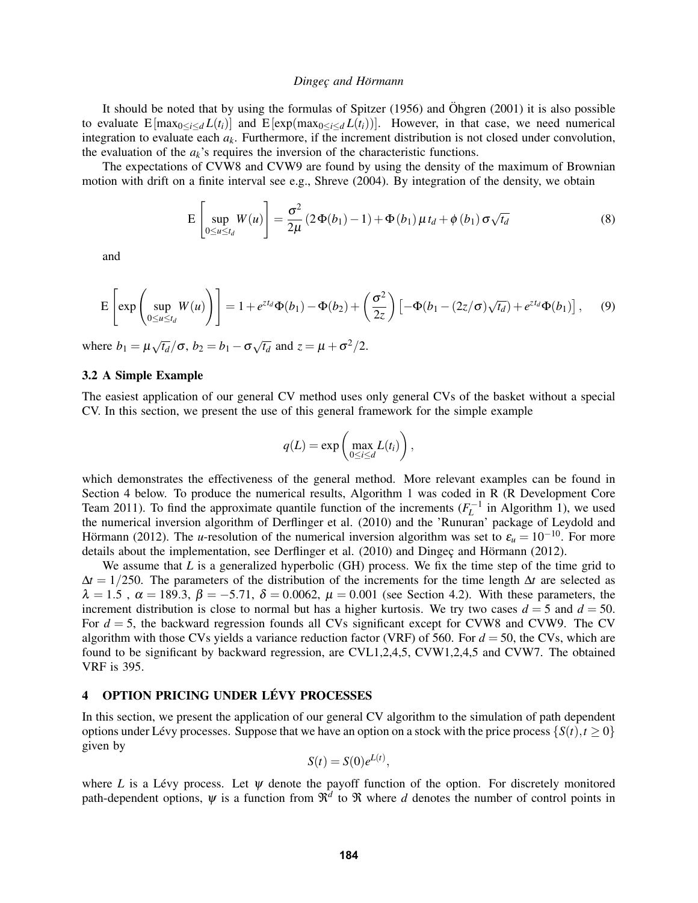It should be noted that by using the formulas of Spitzer  $(1956)$  and Öhgren  $(2001)$  it is also possible to evaluate  $E[\max_{0 \le i \le d} L(t_i)]$  and  $E[\exp(\max_{0 \le i \le d} L(t_i))]$ . However, in that case, we need numerical integration to evaluate each *ak*. Furthermore, if the increment distribution is not closed under convolution, the evaluation of the  $a_k$ 's requires the inversion of the characteristic functions.

The expectations of CVW8 and CVW9 are found by using the density of the maximum of Brownian motion with drift on a finite interval see e.g., Shreve (2004). By integration of the density, we obtain

$$
E\left[\sup_{0\leq u\leq t_d} W(u)\right] = \frac{\sigma^2}{2\mu} \left(2\Phi(b_1) - 1\right) + \Phi(b_1)\mu t_d + \phi(b_1)\sigma\sqrt{t_d} \tag{8}
$$

and

$$
\mathcal{E}\left[\exp\left(\sup_{0\leq u\leq t_d}W(u)\right)\right]=1+e^{zt_d}\Phi(b_1)-\Phi(b_2)+\left(\frac{\sigma^2}{2z}\right)\left[-\Phi(b_1-(2z/\sigma)\sqrt{t_d})+e^{zt_d}\Phi(b_1)\right],\quad (9)
$$

where  $b_1 = \mu \sqrt{t_d}/\sigma$ ,  $b_2 = b_1 - \sigma \sqrt{t_d}$  and  $z = \mu + \sigma^2/2$ .

### 3.2 A Simple Example

The easiest application of our general CV method uses only general CVs of the basket without a special CV. In this section, we present the use of this general framework for the simple example

$$
q(L) = \exp\left(\max_{0 \le i \le d} L(t_i)\right),
$$

which demonstrates the effectiveness of the general method. More relevant examples can be found in Section 4 below. To produce the numerical results, Algorithm 1 was coded in R (R Development Core Team 2011). To find the approximate quantile function of the increments  $(F_L^{-1}$  in Algorithm 1), we used the numerical inversion algorithm of Derflinger et al. (2010) and the 'Runuran' package of Leydold and Hörmann (2012). The *u*-resolution of the numerical inversion algorithm was set to  $\varepsilon_u = 10^{-10}$ . For more details about the implementation, see Derflinger et al. (2010) and Dingeç and Hörmann (2012).

We assume that *L* is a generalized hyperbolic (GH) process. We fix the time step of the time grid to ∆*t* = 1/250. The parameters of the distribution of the increments for the time length ∆*t* are selected as  $\lambda = 1.5$ ,  $\alpha = 189.3$ ,  $\beta = -5.71$ ,  $\delta = 0.0062$ ,  $\mu = 0.001$  (see Section 4.2). With these parameters, the increment distribution is close to normal but has a higher kurtosis. We try two cases  $d = 5$  and  $d = 50$ . For *d* = 5, the backward regression founds all CVs significant except for CVW8 and CVW9. The CV algorithm with those CVs yields a variance reduction factor (VRF) of 560. For *d* = 50, the CVs, which are found to be significant by backward regression, are CVL1,2,4,5, CVW1,2,4,5 and CVW7. The obtained VRF is 395.

# 4 OPTION PRICING UNDER LÉVY PROCESSES

In this section, we present the application of our general CV algorithm to the simulation of path dependent options under Lévy processes. Suppose that we have an option on a stock with the price process  $\{S(t), t \geq 0\}$ given by

$$
S(t) = S(0)e^{L(t)},
$$

where *L* is a Lévy process. Let  $\psi$  denote the payoff function of the option. For discretely monitored path-dependent options,  $\psi$  is a function from  $\mathbb{R}^d$  to  $\Re$  where *d* denotes the number of control points in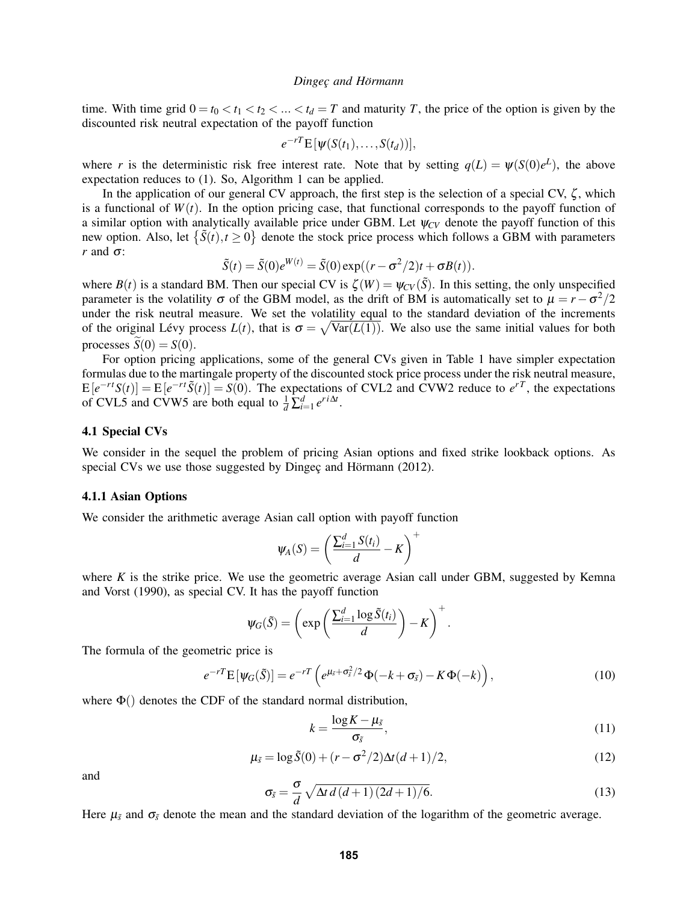time. With time grid  $0 = t_0 < t_1 < t_2 < \ldots < t_d = T$  and maturity *T*, the price of the option is given by the discounted risk neutral expectation of the payoff function

$$
e^{-rT} \mathbf{E} \left[ \psi(S(t_1), \ldots, S(t_d)) \right],
$$

where *r* is the deterministic risk free interest rate. Note that by setting  $q(L) = \psi(S(0)e^L)$ , the above expectation reduces to (1). So, Algorithm 1 can be applied.

In the application of our general CV approach, the first step is the selection of a special CV,  $\zeta$ , which is a functional of  $W(t)$ . In the option pricing case, that functional corresponds to the payoff function of a similar option with analytically available price under GBM. Let  $\psi_{CV}$  denote the payoff function of this new option. Also, let  $\{\tilde{S}(t), t \ge 0\}$  denote the stock price process which follows a GBM with parameters *r* and  $\sigma$ :

$$
\tilde{S}(t) = \tilde{S}(0)e^{W(t)} = \tilde{S}(0)\exp((r - \sigma^2/2)t + \sigma B(t)).
$$

where  $B(t)$  is a standard BM. Then our special CV is  $\zeta(W) = \psi_{CV}(\tilde{S})$ . In this setting, the only unspecified parameter is the volatility  $\sigma$  of the GBM model, as the drift of BM is automatically set to  $\mu = r - \sigma^2/2$ under the risk neutral measure. We set the volatility equal to the standard deviation of the increments of the original Lévy process  $L(t)$ , that is  $\sigma = \sqrt{\text{Var}(L(1))}$ . We also use the same initial values for both processes  $\tilde{S}(0) = S(0)$ .

For option pricing applications, some of the general CVs given in Table 1 have simpler expectation formulas due to the martingale property of the discounted stock price process under the risk neutral measure,  $E[e^{-rt}S(t)] = E[e^{-rt}\tilde{S}(t)] = S(0)$ . The expectations of CVL2 and CVW2 reduce to  $e^{rT}$ , the expectations of CVL5 and CVW5 are both equal to  $\frac{1}{d} \sum_{i=1}^{d} e^{r i \Delta t}$ .

### 4.1 Special CVs

We consider in the sequel the problem of pricing Asian options and fixed strike lookback options. As special CVs we use those suggested by Dingec and Hörmann (2012).

### 4.1.1 Asian Options

We consider the arithmetic average Asian call option with payoff function

$$
\psi_A(S) = \left(\frac{\sum_{i=1}^d S(t_i)}{d} - K\right)^+
$$

where  $K$  is the strike price. We use the geometric average Asian call under GBM, suggested by Kemna and Vorst (1990), as special CV. It has the payoff function

$$
\psi_G(\tilde{S}) = \left(\exp\left(\frac{\sum_{i=1}^d \log \tilde{S}(t_i)}{d}\right) - K\right)^+.
$$

The formula of the geometric price is

$$
e^{-rT} \mathbf{E} \left[ \Psi_G(\tilde{\mathbf{S}}) \right] = e^{-rT} \left( e^{\mu_{\tilde{s}} + \sigma_{\tilde{s}}^2/2} \Phi(-k + \sigma_{\tilde{s}}) - K \Phi(-k) \right), \tag{10}
$$

where  $\Phi()$  denotes the CDF of the standard normal distribution,

$$
k = \frac{\log K - \mu_{\tilde{s}}}{\sigma_{\tilde{s}}},\tag{11}
$$

$$
\mu_{\tilde{s}} = \log \tilde{S}(0) + (r - \sigma^2/2)\Delta t (d+1)/2, \tag{12}
$$

and

$$
\sigma_{\tilde{s}} = \frac{\sigma}{d} \sqrt{\Delta t \, d \left(d+1\right) \left(2d+1\right) / 6}.\tag{13}
$$

Here  $\mu_{\tilde{s}}$  and  $\sigma_{\tilde{s}}$  denote the mean and the standard deviation of the logarithm of the geometric average.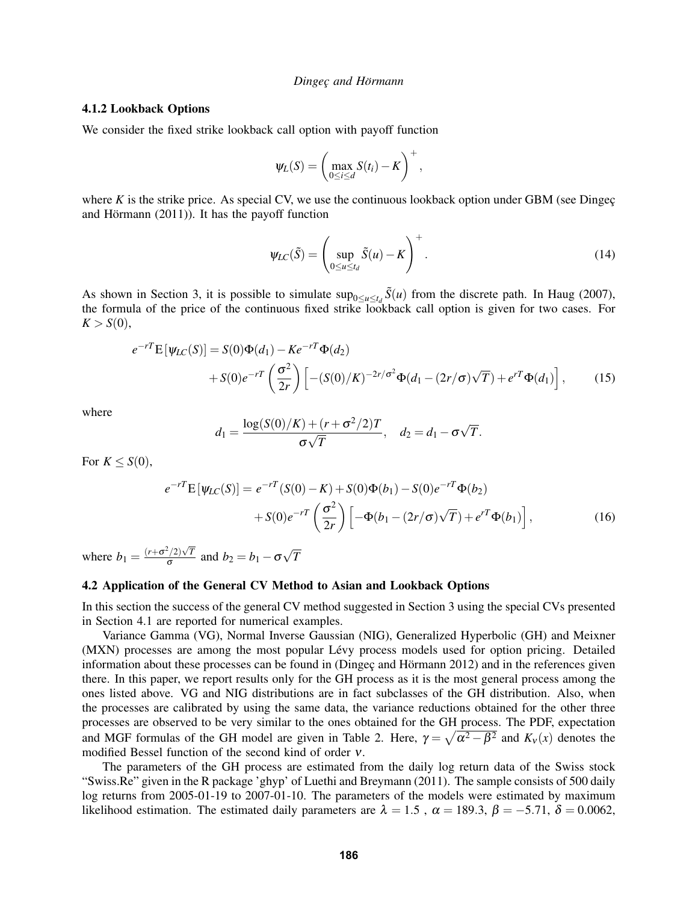### 4.1.2 Lookback Options

We consider the fixed strike lookback call option with payoff function

$$
\psi_L(S) = \left(\max_{0 \le i \le d} S(t_i) - K\right)^+,
$$

where  $K$  is the strike price. As special CV, we use the continuous lookback option under GBM (see Dingeç $\phi$ and Hörmann  $(2011)$ ). It has the payoff function

$$
\psi_{LC}(\tilde{S}) = \left(\sup_{0 \le u \le t_d} \tilde{S}(u) - K\right)^+.
$$
\n(14)

As shown in Section 3, it is possible to simulate  $\sup_{0 \le u \le t_d} \tilde{S}(u)$  from the discrete path. In Haug (2007), the formula of the price of the continuous fixed strike lookback call option is given for two cases. For  $K > S(0)$ ,

$$
e^{-rT} \mathbf{E}[\psi_{LC}(S)] = S(0)\Phi(d_1) - Ke^{-rT}\Phi(d_2) + S(0)e^{-rT}\left(\frac{\sigma^2}{2r}\right) \left[ -(S(0)/K)^{-2r/\sigma^2}\Phi(d_1 - (2r/\sigma)\sqrt{T}) + e^{rT}\Phi(d_1) \right],
$$
(15)

where

$$
d_1 = \frac{\log(S(0)/K) + (r + \sigma^2/2)T}{\sigma\sqrt{T}}, \quad d_2 = d_1 - \sigma\sqrt{T}.
$$

For  $K \le S(0)$ ,

$$
e^{-rT} \mathbf{E} \left[ \Psi_{LC}(S) \right] = e^{-rT} (S(0) - K) + S(0) \Phi(b_1) - S(0) e^{-rT} \Phi(b_2)
$$
  
+ 
$$
S(0) e^{-rT} \left( \frac{\sigma^2}{2r} \right) \left[ -\Phi(b_1 - (2r/\sigma) \sqrt{T}) + e^{rT} \Phi(b_1) \right],
$$
 (16)

where  $b_1 = \frac{(r+\sigma^2/2)\sqrt{T}}{\sigma}$  $\frac{\sigma}{\sigma}$  and  $b_2 = b_1 - \sigma$ √ *T*

### 4.2 Application of the General CV Method to Asian and Lookback Options

In this section the success of the general CV method suggested in Section 3 using the special CVs presented in Section 4.1 are reported for numerical examples.

Variance Gamma (VG), Normal Inverse Gaussian (NIG), Generalized Hyperbolic (GH) and Meixner (MXN) processes are among the most popular Lévy process models used for option pricing. Detailed information about these processes can be found in (Dingec and Hörmann  $2012$ ) and in the references given there. In this paper, we report results only for the GH process as it is the most general process among the ones listed above. VG and NIG distributions are in fact subclasses of the GH distribution. Also, when the processes are calibrated by using the same data, the variance reductions obtained for the other three processes are observed to be very similar to the ones obtained for the GH process. The PDF, expectation and MGF formulas of the GH model are given in Table 2. Here,  $\gamma = \sqrt{\alpha^2 - \beta^2}$  and  $K_v(x)$  denotes the modified Bessel function of the second kind of order ν.

The parameters of the GH process are estimated from the daily log return data of the Swiss stock "Swiss.Re" given in the R package 'ghyp' of Luethi and Breymann (2011). The sample consists of 500 daily log returns from 2005-01-19 to 2007-01-10. The parameters of the models were estimated by maximum likelihood estimation. The estimated daily parameters are  $\lambda = 1.5$ ,  $\alpha = 189.3$ ,  $\beta = -5.71$ ,  $\delta = 0.0062$ ,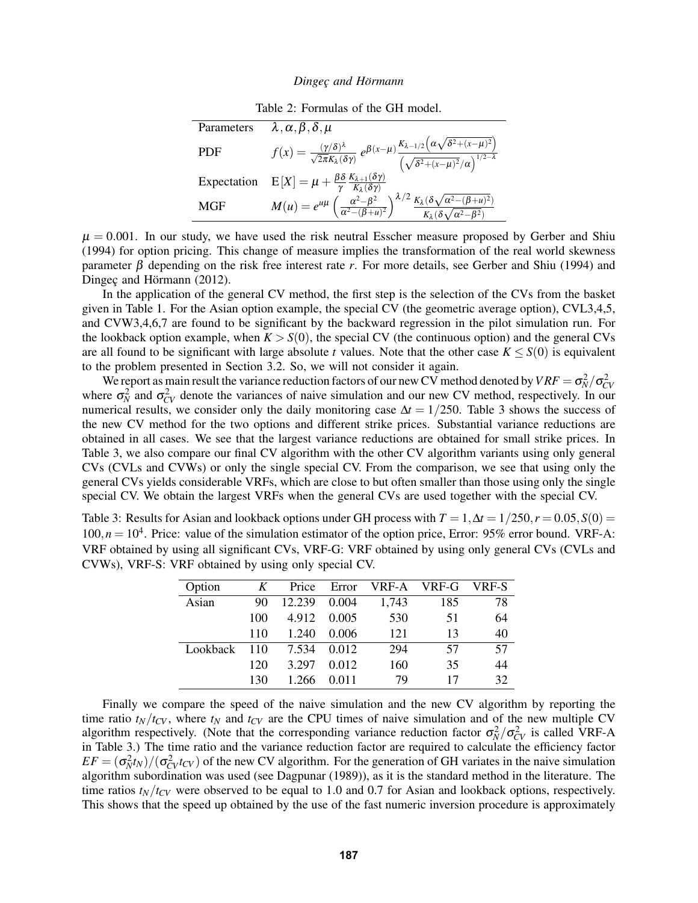Table 2: Formulas of the GH model.

| Parameters  | $\lambda, \alpha, \beta, \delta, \mu$                                                                                                                                                                                                                             |
|-------------|-------------------------------------------------------------------------------------------------------------------------------------------------------------------------------------------------------------------------------------------------------------------|
| PDF         | $f(x) = \frac{(\gamma/\delta)^{\lambda}}{\sqrt{2\pi}K_{\lambda}(\delta\gamma)} e^{\beta(x-\mu)\frac{K_{\lambda-1/2}(\alpha\sqrt{\delta^2+(x-\mu)^2})}{\left(\sqrt{\delta^2+(x-\mu)^2}/\alpha\right)^{1/2-\lambda}}}$                                              |
| Expectation | $\text{E}\left[X\right]=\mu+\frac{\beta\delta}{\gamma}\frac{K_{\lambda+1}(\delta\gamma)}{K_{\lambda}(\delta\gamma)}$                                                                                                                                              |
| MGF         | $M(u) = e^{u\mu} \left(\frac{\alpha^2 - \beta^2}{\alpha^2 - (\beta + u)^2}\right)^{\lambda/2} \frac{K_{\lambda} (\delta \sqrt{\alpha^2 - (\beta + u)^2})}{K_{\lambda} (\delta \sqrt{\alpha^2 - (\beta + u)^2})}$<br>$K_{\lambda}(\delta \sqrt{\alpha^2-\beta^2})$ |

 $\mu = 0.001$ . In our study, we have used the risk neutral Esscher measure proposed by Gerber and Shiu (1994) for option pricing. This change of measure implies the transformation of the real world skewness parameter β depending on the risk free interest rate *r*. For more details, see Gerber and Shiu (1994) and Dingec and Hörmann  $(2012)$ .

In the application of the general CV method, the first step is the selection of the CVs from the basket given in Table 1. For the Asian option example, the special CV (the geometric average option), CVL3,4,5, and CVW3,4,6,7 are found to be significant by the backward regression in the pilot simulation run. For the lookback option example, when  $K > S(0)$ , the special CV (the continuous option) and the general CVs are all found to be significant with large absolute *t* values. Note that the other case  $K \leq S(0)$  is equivalent to the problem presented in Section 3.2. So, we will not consider it again.

We report as main result the variance reduction factors of our new CV method denoted by  $VRF = \sigma_N^2/\sigma_{CV}^2$ <br>where  $\sigma_N^2$  and  $\sigma_{CV}^2$  denote the variances of naive simulation and our new CV method, respectively. In our numerical results, we consider only the daily monitoring case  $\Delta t = 1/250$ . Table 3 shows the success of the new CV method for the two options and different strike prices. Substantial variance reductions are obtained in all cases. We see that the largest variance reductions are obtained for small strike prices. In Table 3, we also compare our final CV algorithm with the other CV algorithm variants using only general CVs (CVLs and CVWs) or only the single special CV. From the comparison, we see that using only the general CVs yields considerable VRFs, which are close to but often smaller than those using only the single special CV. We obtain the largest VRFs when the general CVs are used together with the special CV.

Table 3: Results for Asian and lookback options under GH process with  $T = 1, \Delta t = 1/250, r = 0.05, S(0) = 0.05$  $100, n = 10<sup>4</sup>$ . Price: value of the simulation estimator of the option price, Error: 95% error bound. VRF-A: VRF obtained by using all significant CVs, VRF-G: VRF obtained by using only general CVs (CVLs and CVWs), VRF-S: VRF obtained by using only special CV.

| Option   | K   | Price  | Error | VRF-A | VRF-G | VRF-S |
|----------|-----|--------|-------|-------|-------|-------|
| Asian    | 90  | 12.239 | 0.004 | 1,743 | 185   | 78    |
|          | 100 | 4.912  | 0.005 | 530   | 51    | 64    |
|          | 110 | 1.240  | 0.006 | 121   | 13    | 40    |
| Lookback | 110 | 7.534  | 0.012 | 294   | 57    | 57    |
|          | 120 | 3.297  | 0.012 | 160   | 35    | 44    |
|          | 130 | 1 266  | 0.011 | 79    | 17    | 32    |

Finally we compare the speed of the naive simulation and the new CV algorithm by reporting the time ratio  $t_N/t_{CV}$ , where  $t_N$  and  $t_{CV}$  are the CPU times of naive simulation and of the new multiple CV algorithm respectively. (Note that the corresponding variance reduction factor  $\sigma_N^2/\sigma_{CV}^2$  is called VRF-A in Table 3.) The time ratio and the variance reduction factor are required to calculate the efficiency factor  $EF = (\sigma_N^2 t_N)/(\sigma_{CV}^2 t_{CV})$  of the new CV algorithm. For the generation of GH variates in the naive simulation algorithm subordination was used (see Dagpunar (1989)), as it is the standard method in the literature. The time ratios  $t_N/t_{CV}$  were observed to be equal to 1.0 and 0.7 for Asian and lookback options, respectively. This shows that the speed up obtained by the use of the fast numeric inversion procedure is approximately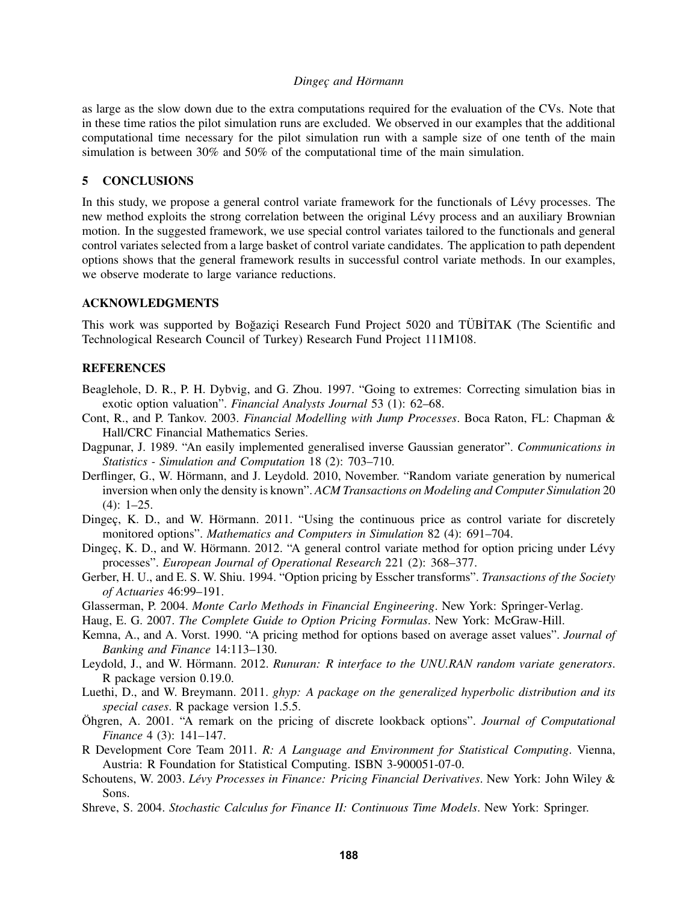### *Dingec¸ and Hormann ¨*

as large as the slow down due to the extra computations required for the evaluation of the CVs. Note that in these time ratios the pilot simulation runs are excluded. We observed in our examples that the additional computational time necessary for the pilot simulation run with a sample size of one tenth of the main simulation is between 30% and 50% of the computational time of the main simulation.

### 5 CONCLUSIONS

In this study, we propose a general control variate framework for the functionals of Lévy processes. The new method exploits the strong correlation between the original Lévy process and an auxiliary Brownian motion. In the suggested framework, we use special control variates tailored to the functionals and general control variates selected from a large basket of control variate candidates. The application to path dependent options shows that the general framework results in successful control variate methods. In our examples, we observe moderate to large variance reductions.

### ACKNOWLEDGMENTS

This work was supported by Boğaziçi Research Fund Project 5020 and TÜBİTAK (The Scientific and Technological Research Council of Turkey) Research Fund Project 111M108.

### **REFERENCES**

- Beaglehole, D. R., P. H. Dybvig, and G. Zhou. 1997. "Going to extremes: Correcting simulation bias in exotic option valuation". *Financial Analysts Journal* 53 (1): 62–68.
- Cont, R., and P. Tankov. 2003. *Financial Modelling with Jump Processes*. Boca Raton, FL: Chapman & Hall/CRC Financial Mathematics Series.
- Dagpunar, J. 1989. "An easily implemented generalised inverse Gaussian generator". *Communications in Statistics - Simulation and Computation* 18 (2): 703–710.
- Derflinger, G., W. Hörmann, and J. Leydold. 2010, November. "Random variate generation by numerical inversion when only the density is known". *ACM Transactions on Modeling and Computer Simulation* 20  $(4): 1-25.$
- Dingec, K. D., and W. Hörmann. 2011. "Using the continuous price as control variate for discretely monitored options". *Mathematics and Computers in Simulation* 82 (4): 691–704.
- Dingec, K. D., and W. Hörmann. 2012. "A general control variate method for option pricing under Lévy processes". *European Journal of Operational Research* 221 (2): 368–377.
- Gerber, H. U., and E. S. W. Shiu. 1994. "Option pricing by Esscher transforms". *Transactions of the Society of Actuaries* 46:99–191.
- Glasserman, P. 2004. *Monte Carlo Methods in Financial Engineering*. New York: Springer-Verlag.
- Haug, E. G. 2007. *The Complete Guide to Option Pricing Formulas*. New York: McGraw-Hill.
- Kemna, A., and A. Vorst. 1990. "A pricing method for options based on average asset values". *Journal of Banking and Finance* 14:113–130.
- Leydold, J., and W. Hörmann. 2012. Runuran: R interface to the UNU.RAN random variate generators. R package version 0.19.0.
- Luethi, D., and W. Breymann. 2011. *ghyp: A package on the generalized hyperbolic distribution and its special cases*. R package version 1.5.5.
- Öhgren, A. 2001. "A remark on the pricing of discrete lookback options". *Journal of Computational Finance* 4 (3): 141–147.
- R Development Core Team 2011. *R: A Language and Environment for Statistical Computing*. Vienna, Austria: R Foundation for Statistical Computing. ISBN 3-900051-07-0.
- Schoutens, W. 2003. *Levy Processes in Finance: Pricing Financial Derivatives ´* . New York: John Wiley & Sons.
- Shreve, S. 2004. *Stochastic Calculus for Finance II: Continuous Time Models*. New York: Springer.